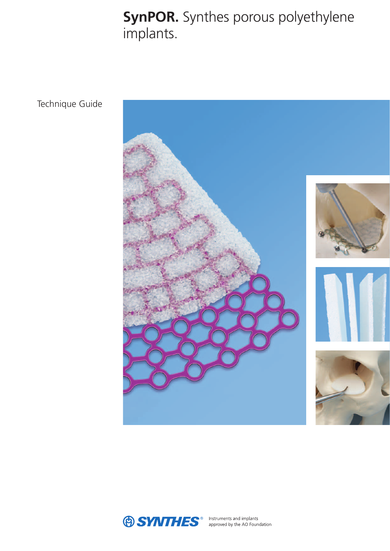**SynPOR.** Synthes porous polyethylene implants.

Technique Guide



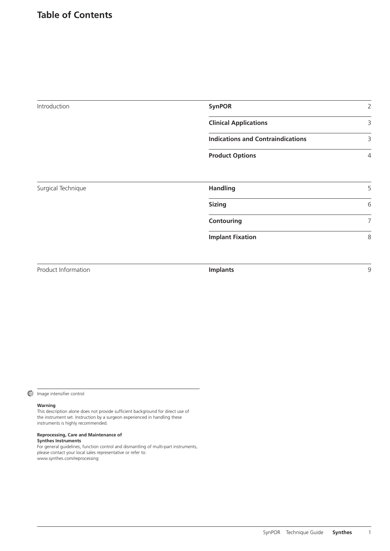# **Table of Contents**

| Introduction        | <b>SynPOR</b><br>$\overline{2}$          |                |
|---------------------|------------------------------------------|----------------|
|                     | <b>Clinical Applications</b>             | 3              |
|                     | <b>Indications and Contraindications</b> | 3              |
|                     | <b>Product Options</b>                   | $\overline{4}$ |
| Surgical Technique  | <b>Handling</b>                          | 5              |
|                     | <b>Sizing</b>                            | 6              |
|                     | Contouring                               | 7              |
|                     | <b>Implant Fixation</b>                  | 8              |
| Product Information | <b>Implants</b>                          | 9              |

#### Image intensifier control

#### **Warning**

This description alone does not provide sufficient background for direct use of the instrument set. Instruction by a surgeon experienced in handling these instruments is highly recommended.

#### **Reprocessing, Care and Maintenance of Synthes Instruments**

For general guidelines, function control and dismantling of multi-part instruments, please contact your local sales representative or refer to: www.synthes.com/reprocessing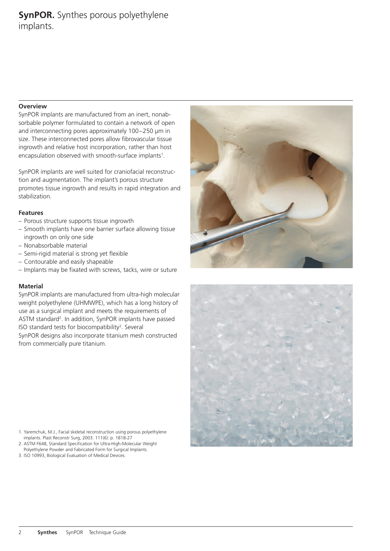# **SynPOR.** Synthes porous polyethylene implants.

#### **Overview**

SynPOR implants are manufactured from an inert, nonabsorbable polymer formulated to contain a network of open and interconnecting pores approximately 100–250 μm in size. These interconnected pores allow fibrovascular tissue ingrowth and relative host incorporation, rather than host encapsulation observed with smooth-surface implants<sup>1</sup>.

SynPOR implants are well suited for craniofacial reconstruction and augmentation. The implant's porous structure promotes tissue ingrowth and results in rapid integration and stabilization.

#### **Features**

- Porous structure supports tissue ingrowth
- Smooth implants have one barrier surface allowing tissue ingrowth on only one side
- Nonabsorbable material
- Semi-rigid material is strong yet flexible
- Contourable and easily shapeable
- Implants may be fixated with screws, tacks, wire or suture

### **Material**

SynPOR implants are manufactured from ultra-high molecular weight polyethylene (UHMWPE), which has a long history of use as a surgical implant and meets the requirements of ASTM standard<sup>2</sup>. In addition, SynPOR implants have passed ISO standard tests for biocompatibility<sup>3</sup>. Several SynPOR designs also incorporate titanium mesh constructed from commercially pure titanium.

1. Yaremchuk, M.J., Facial skeletal reconstruction using porous polyethylene implants. Plast Reconstr Surg, 2003. 111(6): p. 1818-27 2. ASTM F648, Standard Specification for Ultra-High-Molecular Weight

- Polyethylene Powder and Fabricated Form for Surgical Implants.
- 3. ISO 10993, Biological Evaluation of Medical Devices.



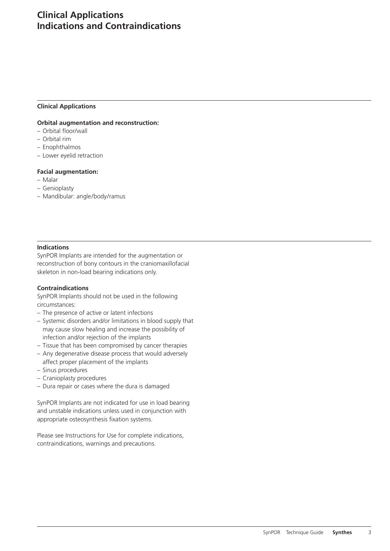# **Clinical Applications Indications and Contraindications**

#### **Clinical Applications**

#### **Orbital augmentation and reconstruction:**

- Orbital floor/wall
- Orbital rim
- Enophthalmos
- Lower eyelid retraction

#### **Facial augmentation:**

- Malar
- Genioplasty
- Mandibular: angle/body/ramus

#### **Indications**

SynPOR Implants are intended for the augmentation or reconstruction of bony contours in the craniomaxillofacial skeleton in non-load bearing indications only.

#### **Contraindications**

SynPOR Implants should not be used in the following circumstances:

- The presence of active or latent infections
- Systemic disorders and/or limitations in blood supply that may cause slow healing and increase the possibility of infection and/or rejection of the implants
- Tissue that has been compromised by cancer therapies
- Any degenerative disease process that would adversely
- affect proper placement of the implants
- Sinus procedures
- Cranioplasty procedures
- Dura repair or cases where the dura is damaged

SynPOR Implants are not indicated for use in load bearing and unstable indications unless used in conjunction with appropriate osteosynthesis fixation systems.

Please see Instructions for Use for complete indications, contraindications, warnings and precautions.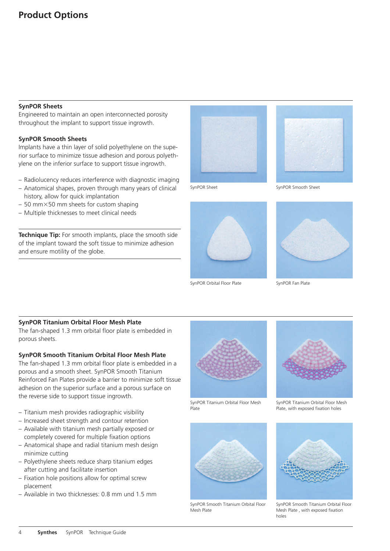### **SynPOR Sheets**

Engineered to maintain an open interconnected porosity throughout the implant to support tissue ingrowth.

### **SynPOR Smooth Sheets**

Implants have a thin layer of solid polyethylene on the superior surface to minimize tissue adhesion and porous polyethylene on the inferior surface to support tissue ingrowth.

- Radiolucency reduces interference with diagnostic imaging
- Anatomical shapes, proven through many years of clinical history, allow for quick implantation
- $-$  50 mm $\times$ 50 mm sheets for custom shaping
- Multiple thicknesses to meet clinical needs

**Technique Tip:** For smooth implants, place the smooth side of the implant toward the soft tissue to minimize adhesion and ensure motility of the globe.





SynPOR Orbital Floor Plate SynPOR Fan Plate







# **SynPOR Titanium Orbital Floor Mesh Plate**

The fan-shaped 1.3 mm orbital floor plate is embedded in porous sheets.

### **SynPOR Smooth Titanium Orbital Floor Mesh Plate**

The fan-shaped 1.3 mm orbital floor plate is embedded in a porous and a smooth sheet. SynPOR Smooth Titanium Reinforced Fan Plates provide a barrier to minimize soft tissue adhesion on the superior surface and a porous surface on the reverse side to support tissue ingrowth.

- Titanium mesh provides radiographic visibility
- Increased sheet strength and contour retention
- Available with titanium mesh partially exposed or completely covered for multiple fixation options
- Anatomical shape and radial titanium mesh design minimize cutting
- Polyethylene sheets reduce sharp titanium edges after cutting and facilitate insertion
- Fixation hole positions allow for optimal screw placement
- Available in two thicknesses: 0.8 mm und 1.5 mm



SynPOR Titanium Orbital Floor Mesh Plate



SynPOR Smooth Titanium Orbital Floor Mesh Plate



SynPOR Titanium Orbital Floor Mesh Plate, with exposed fixation holes



SynPOR Smooth Titanium Orbital Floor Mesh Plate , with exposed fixation holes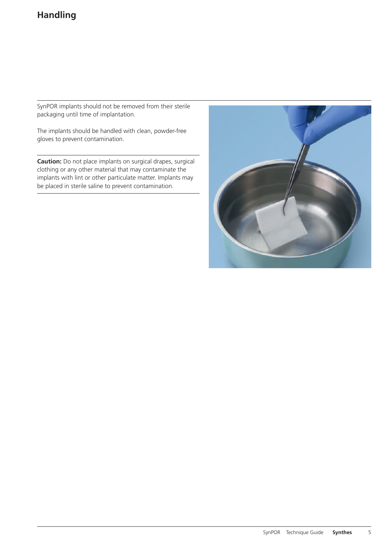SynPOR implants should not be removed from their sterile packaging until time of implantation.

The implants should be handled with clean, powder-free gloves to prevent contamination.

**Caution:** Do not place implants on surgical drapes, surgical clothing or any other material that may contaminate the implants with lint or other particulate matter. Implants may be placed in sterile saline to prevent contamination.

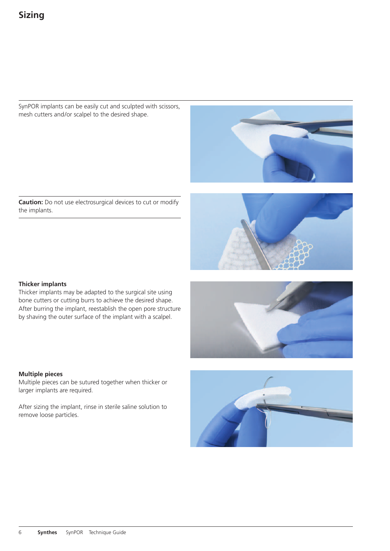SynPOR implants can be easily cut and sculpted with scissors, mesh cutters and/or scalpel to the desired shape.



**Caution:** Do not use electrosurgical devices to cut or modify the implants.



### **Thicker implants**

Thicker implants may be adapted to the surgical site using bone cutters or cutting burrs to achieve the desired shape. After burring the implant, reestablish the open pore structure by shaving the outer surface of the implant with a scalpel.



### **Multiple pieces**

Multiple pieces can be sutured together when thicker or larger implants are required.

After sizing the implant, rinse in sterile saline solution to remove loose particles.

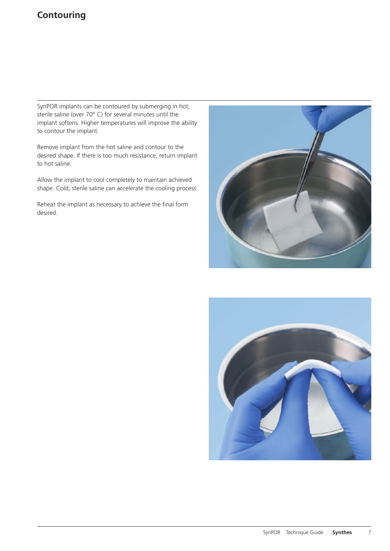# **Contouring**

SynPOR implants can be contoured by submerging in hot, sterile saline (over 70° C) for several minutes until the implant softens. Higher temperatures will improve the ability to contour the implant.

Remove implant from the hot saline and contour to the desired shape. If there is too much resistance, return implant to hot saline.

Allow the implant to cool completely to maintain achieved shape. Cold, sterile saline can accelerate the cooling process.

Reheat the implant as necessary to achieve the final form desired.



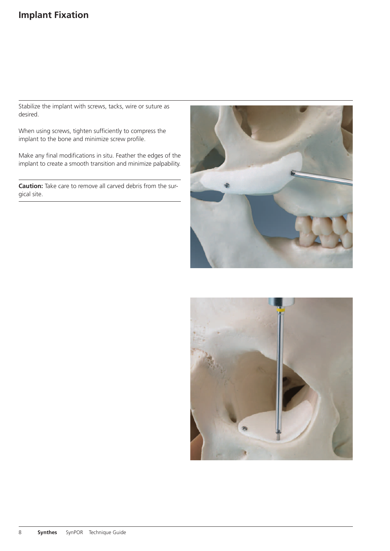# **Implant Fixation**

Stabilize the implant with screws, tacks, wire or suture as desired.

When using screws, tighten sufficiently to compress the implant to the bone and minimize screw profile.

Make any final modifications in situ. Feather the edges of the implant to create a smooth transition and minimize palpability.

**Caution:** Take care to remove all carved debris from the surgical site.



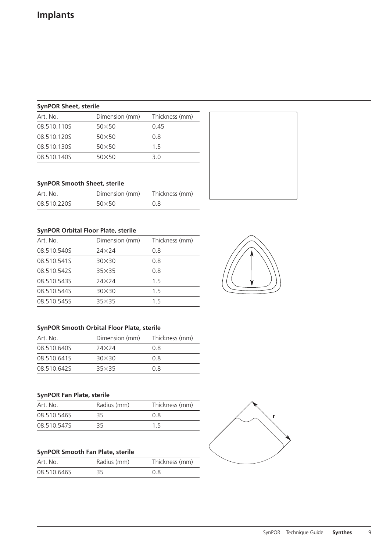# **SynPOR Sheet, sterile**

| Art. No.    | Dimension (mm) | Thickness (mm) |
|-------------|----------------|----------------|
| 08.510.110S | $50\times50$   | 0.45           |
| 08.510.120S | $50\times50$   | 0.8            |
| 08.510.130S | $50\times50$   | 15             |
| 08.510.140S | $50\times50$   | 3.0            |

# **SynPOR Smooth Sheet, sterile**

| Art. No.    | Dimension (mm) | Thickness (mm) |
|-------------|----------------|----------------|
| 08.510.220S | $50\times50$   | 0.8            |

# **SynPOR Orbital Floor Plate, sterile**

| Art. No.    | Dimension (mm) | Thickness (mm) |
|-------------|----------------|----------------|
| 08.510.540S | $24\times24$   | 0.8            |
| 08.510.541S | $30\times30$   | 0.8            |
| 08.510.5425 | $35\times35$   | 0.8            |
| 08.510.543S | 24×24          | 1.5            |
| 08.510.544S | $30\times30$   | 1.5            |
| 08.510.5455 | $35\times35$   | 15             |

# **SynPOR Smooth Orbital Floor Plate, sterile**

| Art. No.    | Dimension (mm) | Thickness (mm) |
|-------------|----------------|----------------|
| 08.510.640S | $74\times74$   | 0 R            |
| 08.510.6415 | $30\times30$   | 0 R            |
| 08.510.6425 | $35\times35$   | 0 R            |

# **SynPOR Fan Plate, sterile**

| Art. No.    | Radius (mm) | Thickness (mm) |
|-------------|-------------|----------------|
| 08.510.546S | 35          | 0 R            |
| 08.510.5475 | 35          | 15             |

# **SynPOR Smooth Fan Plate, sterile**

| Art. No.    | Radius (mm) | Thickness (mm) |
|-------------|-------------|----------------|
| 08.510.646S | 35          | 0 R            |



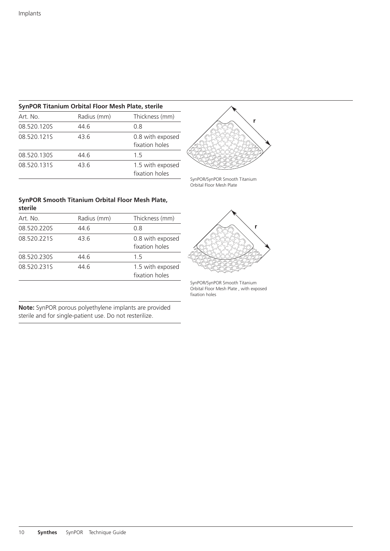### **SynPOR Titanium Orbital Floor Mesh Plate, sterile**

| Art. No.    | Radius (mm) | Thickness (mm)                     |
|-------------|-------------|------------------------------------|
| 08.520.1205 | 44.6        | 0.8                                |
| 08.520.1215 | 43.6        | 0.8 with exposed<br>fixation holes |
| 08.520.1305 | 44.6        | 15                                 |
| 08.520.1315 | 43.6        | 1.5 with exposed<br>fixation holes |



SynPOR/SynPOR Smooth Titanium Orbital Floor Mesh Plate

#### **SynPOR Smooth Titanium Orbital Floor Mesh Plate, sterile**

| Art. No.    | Radius (mm) | Thickness (mm)                     |
|-------------|-------------|------------------------------------|
| 08.520.2205 | 44.6        | 0.8                                |
| 08.520.2215 | 43.6        | 0.8 with exposed<br>fixation holes |
| 08.520.230S | 44.6        | 1.5                                |
| 08.520.2315 | 44.6        | 1.5 with exposed<br>fixation holes |

**Note:** SynPOR porous polyethylene implants are provided sterile and for single-patient use. Do not resterilize.



SynPOR/SynPOR Smooth Titanium Orbital Floor Mesh Plate , with exposed fixation holes